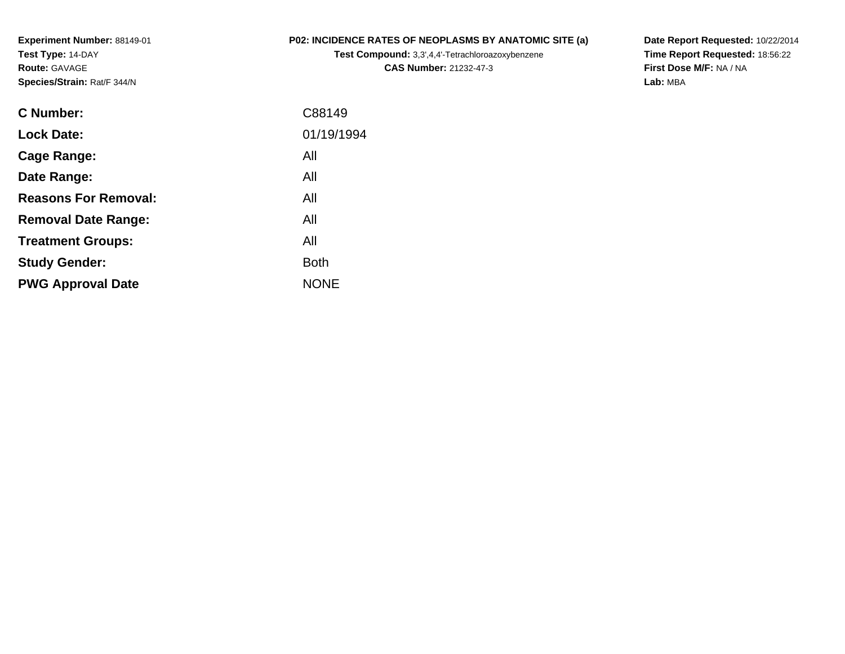**Experiment Number:** 88149-01**Test Type:** 14-DAY**Route:** GAVAGE**Species/Strain:** Rat/F 344/N

## **P02: INCIDENCE RATES OF NEOPLASMS BY ANATOMIC SITE (a)**

**Test Compound:** 3,3',4,4'-Tetrachloroazoxybenzene**CAS Number:** 21232-47-3

**Date Report Requested:** 10/22/2014 **Time Report Requested:** 18:56:22**First Dose M/F:** NA / NA**Lab:** MBA

| C88149      |
|-------------|
| 01/19/1994  |
| All         |
| All         |
| All         |
| All         |
| All         |
| <b>Both</b> |
| <b>NONE</b> |
|             |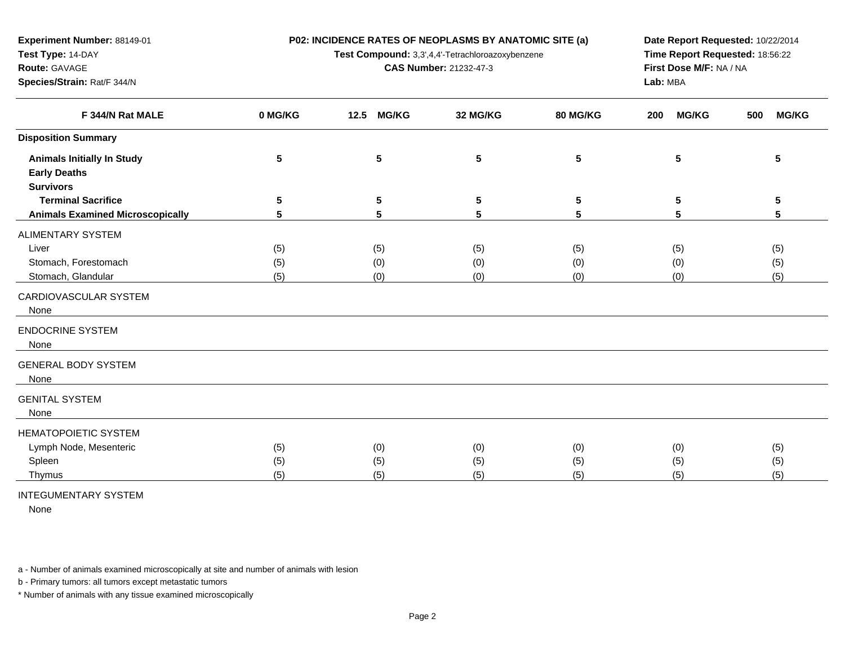**P02: INCIDENCE RATES OF NEOPLASMS BY ANATOMIC SITE (a)**

**Test Compound:** 3,3',4,4'-Tetrachloroazoxybenzene

**CAS Number:** 21232-47-3

**Date Report Requested:** 10/22/2014 **Time Report Requested:** 18:56:22**First Dose M/F:** NA / NA**Lab:** MBA

| F 344/N Rat MALE                        | 0 MG/KG | 12.5 MG/KG | 32 MG/KG  | 80 MG/KG        | <b>MG/KG</b><br>200 | <b>MG/KG</b><br>500 |
|-----------------------------------------|---------|------------|-----------|-----------------|---------------------|---------------------|
| <b>Disposition Summary</b>              |         |            |           |                 |                     |                     |
| <b>Animals Initially In Study</b>       | 5       | ${\bf 5}$  | ${\bf 5}$ | $5\phantom{.0}$ | $5\phantom{.0}$     | 5                   |
| <b>Early Deaths</b>                     |         |            |           |                 |                     |                     |
| <b>Survivors</b>                        |         |            |           |                 |                     |                     |
| <b>Terminal Sacrifice</b>               | 5       | 5          | 5         | 5               | 5                   | 5                   |
| <b>Animals Examined Microscopically</b> | 5       | 5          | 5         | 5               | 5                   | 5                   |
| ALIMENTARY SYSTEM                       |         |            |           |                 |                     |                     |
| Liver                                   | (5)     | (5)        | (5)       | (5)             | (5)                 | (5)                 |
| Stomach, Forestomach                    | (5)     | (0)        | (0)       | (0)             | (0)                 | (5)                 |
| Stomach, Glandular                      | (5)     | (0)        | (0)       | (0)             | (0)                 | (5)                 |
| CARDIOVASCULAR SYSTEM                   |         |            |           |                 |                     |                     |
| None                                    |         |            |           |                 |                     |                     |
| <b>ENDOCRINE SYSTEM</b>                 |         |            |           |                 |                     |                     |
| None                                    |         |            |           |                 |                     |                     |
|                                         |         |            |           |                 |                     |                     |
| <b>GENERAL BODY SYSTEM</b>              |         |            |           |                 |                     |                     |
| None                                    |         |            |           |                 |                     |                     |
| <b>GENITAL SYSTEM</b>                   |         |            |           |                 |                     |                     |
| None                                    |         |            |           |                 |                     |                     |
| <b>HEMATOPOIETIC SYSTEM</b>             |         |            |           |                 |                     |                     |
| Lymph Node, Mesenteric                  | (5)     | (0)        | (0)       | (0)             | (0)                 | (5)                 |
| Spleen                                  | (5)     | (5)        | (5)       | (5)             | (5)                 | (5)                 |
| Thymus                                  | (5)     | (5)        | (5)       | (5)             | (5)                 | (5)                 |
|                                         |         |            |           |                 |                     |                     |

INTEGUMENTARY SYSTEM

**Experiment Number:** 88149-01

**Species/Strain:** Rat/F 344/N

**Test Type:** 14-DAY**Route:** GAVAGE

None

a - Number of animals examined microscopically at site and number of animals with lesion

b - Primary tumors: all tumors except metastatic tumors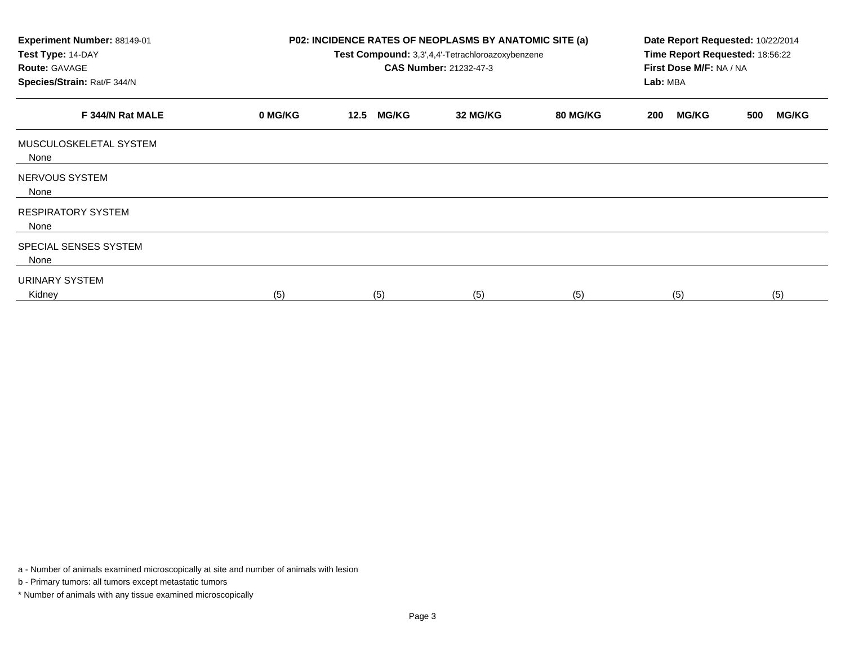| Experiment Number: 88149-01<br>Test Type: 14-DAY<br><b>Route: GAVAGE</b><br>Species/Strain: Rat/F 344/N |         | P02: INCIDENCE RATES OF NEOPLASMS BY ANATOMIC SITE (a)<br>Date Report Requested: 10/22/2014<br>Time Report Requested: 18:56:22<br>Test Compound: 3,3',4,4'-Tetrachloroazoxybenzene<br><b>CAS Number: 21232-47-3</b><br>First Dose M/F: NA / NA<br>Lab: MBA |          |          |                     |                     |
|---------------------------------------------------------------------------------------------------------|---------|------------------------------------------------------------------------------------------------------------------------------------------------------------------------------------------------------------------------------------------------------------|----------|----------|---------------------|---------------------|
| F 344/N Rat MALE                                                                                        | 0 MG/KG | <b>MG/KG</b><br>12.5                                                                                                                                                                                                                                       | 32 MG/KG | 80 MG/KG | <b>MG/KG</b><br>200 | <b>MG/KG</b><br>500 |
| MUSCULOSKELETAL SYSTEM<br>None                                                                          |         |                                                                                                                                                                                                                                                            |          |          |                     |                     |
| NERVOUS SYSTEM<br>None                                                                                  |         |                                                                                                                                                                                                                                                            |          |          |                     |                     |
| <b>RESPIRATORY SYSTEM</b><br>None                                                                       |         |                                                                                                                                                                                                                                                            |          |          |                     |                     |
| SPECIAL SENSES SYSTEM<br>None                                                                           |         |                                                                                                                                                                                                                                                            |          |          |                     |                     |
| URINARY SYSTEM<br>Kidney                                                                                | (5)     | (5)                                                                                                                                                                                                                                                        | (5)      | (5)      | (5)                 | (5)                 |

a - Number of animals examined microscopically at site and number of animals with lesion

b - Primary tumors: all tumors except metastatic tumors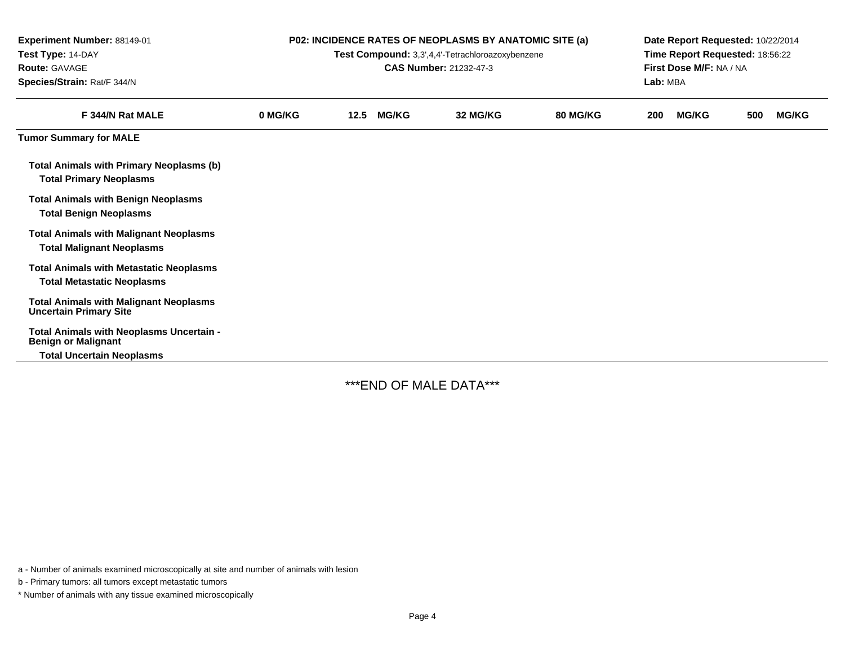| Experiment Number: 88149-01<br>Test Type: 14-DAY<br><b>Route: GAVAGE</b><br>Species/Strain: Rat/F 344/N | <b>P02: INCIDENCE RATES OF NEOPLASMS BY ANATOMIC SITE (a)</b><br>Test Compound: 3,3',4,4'-Tetrachloroazoxybenzene<br><b>CAS Number: 21232-47-3</b> |      |              |          |                 |     | Date Report Requested: 10/22/2014<br>Time Report Requested: 18:56:22<br>First Dose M/F: NA / NA<br>Lab: MBA |     |              |  |  |
|---------------------------------------------------------------------------------------------------------|----------------------------------------------------------------------------------------------------------------------------------------------------|------|--------------|----------|-----------------|-----|-------------------------------------------------------------------------------------------------------------|-----|--------------|--|--|
| F 344/N Rat MALE                                                                                        | 0 MG/KG                                                                                                                                            | 12.5 | <b>MG/KG</b> | 32 MG/KG | <b>80 MG/KG</b> | 200 | <b>MG/KG</b>                                                                                                | 500 | <b>MG/KG</b> |  |  |
| <b>Tumor Summary for MALE</b>                                                                           |                                                                                                                                                    |      |              |          |                 |     |                                                                                                             |     |              |  |  |
| <b>Total Animals with Primary Neoplasms (b)</b><br><b>Total Primary Neoplasms</b>                       |                                                                                                                                                    |      |              |          |                 |     |                                                                                                             |     |              |  |  |
| <b>Total Animals with Benign Neoplasms</b><br><b>Total Benign Neoplasms</b>                             |                                                                                                                                                    |      |              |          |                 |     |                                                                                                             |     |              |  |  |
| <b>Total Animals with Malignant Neoplasms</b><br><b>Total Malignant Neoplasms</b>                       |                                                                                                                                                    |      |              |          |                 |     |                                                                                                             |     |              |  |  |
| <b>Total Animals with Metastatic Neoplasms</b><br><b>Total Metastatic Neoplasms</b>                     |                                                                                                                                                    |      |              |          |                 |     |                                                                                                             |     |              |  |  |
| <b>Total Animals with Malignant Neoplasms</b><br><b>Uncertain Primary Site</b>                          |                                                                                                                                                    |      |              |          |                 |     |                                                                                                             |     |              |  |  |
| Total Animals with Neoplasms Uncertain -<br><b>Benign or Malignant</b>                                  |                                                                                                                                                    |      |              |          |                 |     |                                                                                                             |     |              |  |  |
| <b>Total Uncertain Neoplasms</b>                                                                        |                                                                                                                                                    |      |              |          |                 |     |                                                                                                             |     |              |  |  |

-

\*\*\*END OF MALE DATA\*\*\*

a - Number of animals examined microscopically at site and number of animals with lesion

b - Primary tumors: all tumors except metastatic tumors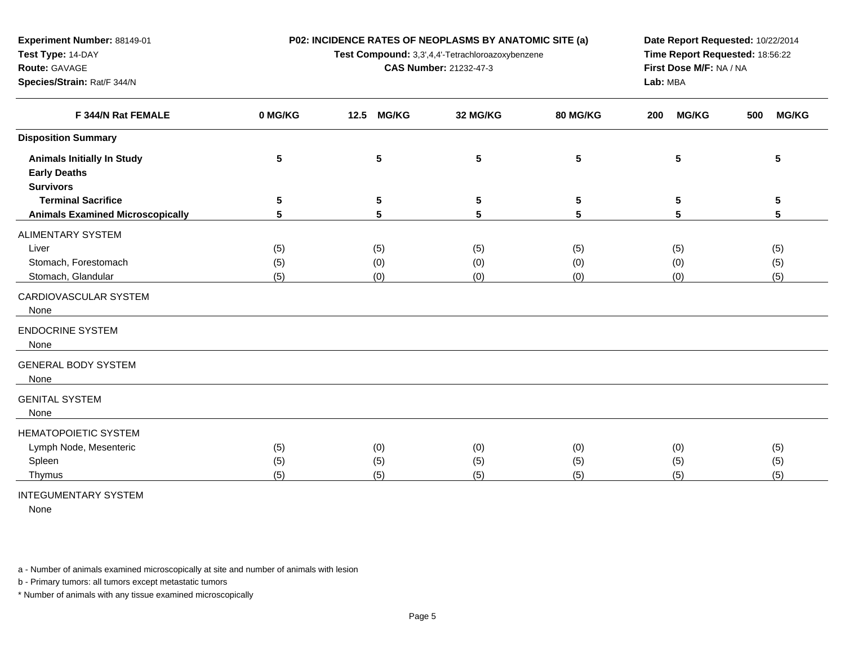**P02: INCIDENCE RATES OF NEOPLASMS BY ANATOMIC SITE (a)**

**Test Compound:** 3,3',4,4'-Tetrachloroazoxybenzene

**CAS Number:** 21232-47-3

**Date Report Requested:** 10/22/2014 **Time Report Requested:** 18:56:22**First Dose M/F:** NA / NA**Lab:** MBA

| F 344/N Rat FEMALE                      | 0 MG/KG | <b>MG/KG</b><br>12.5 | 32 MG/KG  | 80 MG/KG | <b>MG/KG</b><br>200 | <b>MG/KG</b><br>500 |
|-----------------------------------------|---------|----------------------|-----------|----------|---------------------|---------------------|
| <b>Disposition Summary</b>              |         |                      |           |          |                     |                     |
| <b>Animals Initially In Study</b>       | 5       | 5                    | ${\bf 5}$ | 5        | 5                   | 5                   |
| <b>Early Deaths</b>                     |         |                      |           |          |                     |                     |
| <b>Survivors</b>                        |         |                      |           |          |                     |                     |
| <b>Terminal Sacrifice</b>               | 5       | 5                    | 5         | 5        | 5                   | 5                   |
| <b>Animals Examined Microscopically</b> | 5       | 5                    | 5         | 5        | 5                   | 5                   |
| ALIMENTARY SYSTEM                       |         |                      |           |          |                     |                     |
| Liver                                   | (5)     | (5)                  | (5)       | (5)      | (5)                 | (5)                 |
| Stomach, Forestomach                    | (5)     | (0)                  | (0)       | (0)      | (0)                 | (5)                 |
| Stomach, Glandular                      | (5)     | (0)                  | (0)       | (0)      | (0)                 | (5)                 |
| CARDIOVASCULAR SYSTEM                   |         |                      |           |          |                     |                     |
| None                                    |         |                      |           |          |                     |                     |
| <b>ENDOCRINE SYSTEM</b>                 |         |                      |           |          |                     |                     |
| None                                    |         |                      |           |          |                     |                     |
| <b>GENERAL BODY SYSTEM</b>              |         |                      |           |          |                     |                     |
| None                                    |         |                      |           |          |                     |                     |
| <b>GENITAL SYSTEM</b>                   |         |                      |           |          |                     |                     |
| None                                    |         |                      |           |          |                     |                     |
| <b>HEMATOPOIETIC SYSTEM</b>             |         |                      |           |          |                     |                     |
| Lymph Node, Mesenteric                  | (5)     | (0)                  | (0)       | (0)      | (0)                 | (5)                 |
| Spleen                                  | (5)     | (5)                  | (5)       | (5)      | (5)                 | (5)                 |
| Thymus                                  | (5)     | (5)                  | (5)       | (5)      | (5)                 | (5)                 |
|                                         |         |                      |           |          |                     |                     |

INTEGUMENTARY SYSTEM

**Experiment Number:** 88149-01

**Species/Strain:** Rat/F 344/N

**Test Type:** 14-DAY**Route:** GAVAGE

None

a - Number of animals examined microscopically at site and number of animals with lesion

b - Primary tumors: all tumors except metastatic tumors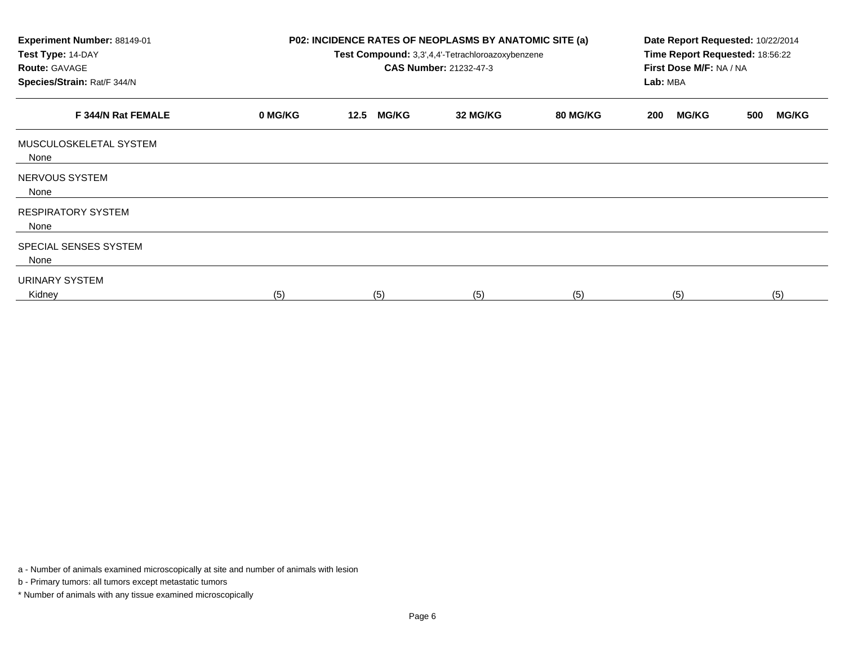| Experiment Number: 88149-01<br>Test Type: 14-DAY<br><b>Route: GAVAGE</b><br>Species/Strain: Rat/F 344/N |         | P02: INCIDENCE RATES OF NEOPLASMS BY ANATOMIC SITE (a)<br>Date Report Requested: 10/22/2014<br>Time Report Requested: 18:56:22<br>Test Compound: 3,3',4,4'-Tetrachloroazoxybenzene<br><b>CAS Number: 21232-47-3</b><br>First Dose M/F: NA / NA<br>Lab: MBA |          |          |                     |                     |
|---------------------------------------------------------------------------------------------------------|---------|------------------------------------------------------------------------------------------------------------------------------------------------------------------------------------------------------------------------------------------------------------|----------|----------|---------------------|---------------------|
| F 344/N Rat FEMALE                                                                                      | 0 MG/KG | <b>MG/KG</b><br>12.5                                                                                                                                                                                                                                       | 32 MG/KG | 80 MG/KG | <b>MG/KG</b><br>200 | <b>MG/KG</b><br>500 |
| MUSCULOSKELETAL SYSTEM<br>None                                                                          |         |                                                                                                                                                                                                                                                            |          |          |                     |                     |
| NERVOUS SYSTEM<br>None                                                                                  |         |                                                                                                                                                                                                                                                            |          |          |                     |                     |
| <b>RESPIRATORY SYSTEM</b><br>None                                                                       |         |                                                                                                                                                                                                                                                            |          |          |                     |                     |
| SPECIAL SENSES SYSTEM<br>None                                                                           |         |                                                                                                                                                                                                                                                            |          |          |                     |                     |
| URINARY SYSTEM<br>Kidney                                                                                | (5)     | (5)                                                                                                                                                                                                                                                        | (5)      | (5)      | (5)                 | (5)                 |

a - Number of animals examined microscopically at site and number of animals with lesion

b - Primary tumors: all tumors except metastatic tumors